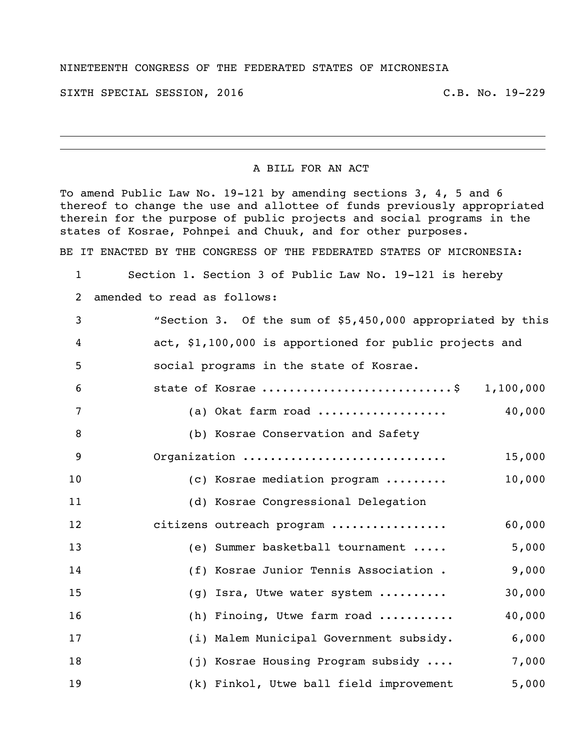## NINETEENTH CONGRESS OF THE FEDERATED STATES OF MICRONESIA

SIXTH SPECIAL SESSION, 2016 C.B. No. 19-229

## A BILL FOR AN ACT

To amend Public Law No. 19-121 by amending sections 3, 4, 5 and 6 thereof to change the use and allottee of funds previously appropriated therein for the purpose of public projects and social programs in the states of Kosrae, Pohnpei and Chuuk, and for other purposes.

BE IT ENACTED BY THE CONGRESS OF THE FEDERATED STATES OF MICRONESIA:

- Section 1. Section 3 of Public Law No. 19-121 is hereby
- amended to read as follows:

| 3              | "Section 3. Of the sum of \$5,450,000 appropriated by this |
|----------------|------------------------------------------------------------|
| 4              | act, \$1,100,000 is apportioned for public projects and    |
| 5              | social programs in the state of Kosrae.                    |
| 6              | state of Kosrae \$ 1,100,000                               |
| $\overline{7}$ | 40,000<br>(a) Okat farm road                               |
| 8              | (b) Kosrae Conservation and Safety                         |
| 9              | Organization<br>15,000                                     |
| 10             | 10,000<br>(c) Kosrae mediation program                     |
| 11             | (d) Kosrae Congressional Delegation                        |
| 12             | 60,000<br>citizens outreach program                        |
| 13             | 5,000<br>(e) Summer basketball tournament                  |
| 14             | 9,000<br>(f) Kosrae Junior Tennis Association .            |
| 15             | 30,000<br>(g) Isra, Utwe water system                      |
| 16             | 40,000<br>(h) Finoing, Utwe farm road                      |
| 17             | (i) Malem Municipal Government subsidy.<br>6,000           |
| 18             | (j) Kosrae Housing Program subsidy<br>7,000                |
| 19             | 5,000<br>(k) Finkol, Utwe ball field improvement           |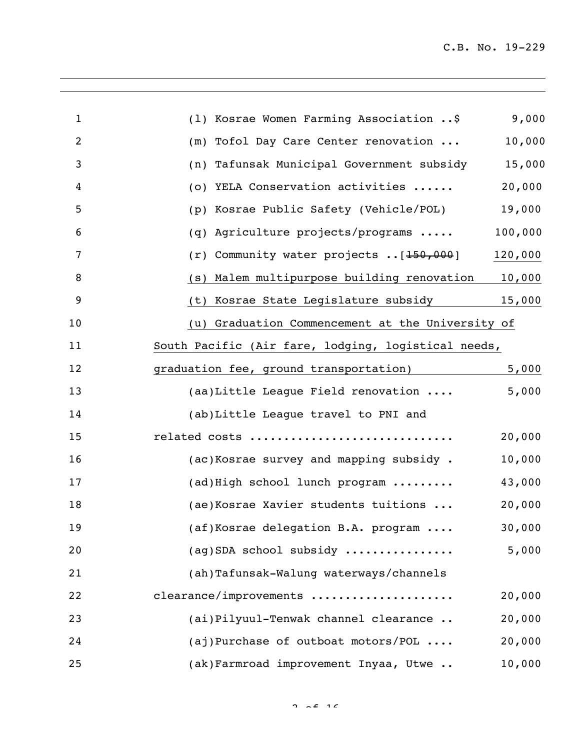$\overline{\phantom{a}}$ 

| $\mathbf{1}$   | (1) Kosrae Women Farming Association \$             | 9,000   |
|----------------|-----------------------------------------------------|---------|
| $\overline{2}$ | (m) Tofol Day Care Center renovation                | 10,000  |
| 3              | (n) Tafunsak Municipal Government subsidy           | 15,000  |
| 4              | (o) YELA Conservation activities                    | 20,000  |
| 5              | (p) Kosrae Public Safety (Vehicle/POL)              | 19,000  |
| 6              | (q) Agriculture projects/programs                   | 100,000 |
| 7              | $(r)$ Community water projects $[150,000]$          | 120,000 |
| 8              | (s) Malem multipurpose building renovation          | 10,000  |
| 9              | (t) Kosrae State Legislature subsidy                | 15,000  |
| 10             | (u) Graduation Commencement at the University of    |         |
| 11             | South Pacific (Air fare, lodging, logistical needs, |         |
| 12             | graduation fee, ground transportation)              | 5,000   |
| 13             | (aa)Little League Field renovation                  | 5,000   |
| 14             | (ab)Little League travel to PNI and                 |         |
| 15             | related costs                                       | 20,000  |
| 16             | (ac) Kosrae survey and mapping subsidy.             | 10,000  |
| 17             | (ad) High school lunch program                      | 43,000  |
| 18             | (ae) Kosrae Xavier students tuitions                | 20,000  |
| 19             | $(af) Kosrae$ delegation B.A. program $\ldots$      | 30,000  |
| 20             | (aq)SDA school subsidy                              | 5,000   |
| 21             | (ah)Tafunsak-Walung waterways/channels              |         |
| 22             | clearance/improvements                              | 20,000  |
| 23             | (ai)Pilyuul-Tenwak channel clearance                | 20,000  |
| 24             | (aj)Purchase of outboat motors/POL                  | 20,000  |
| 25             | (ak) Farmroad improvement Inyaa, Utwe               | 10,000  |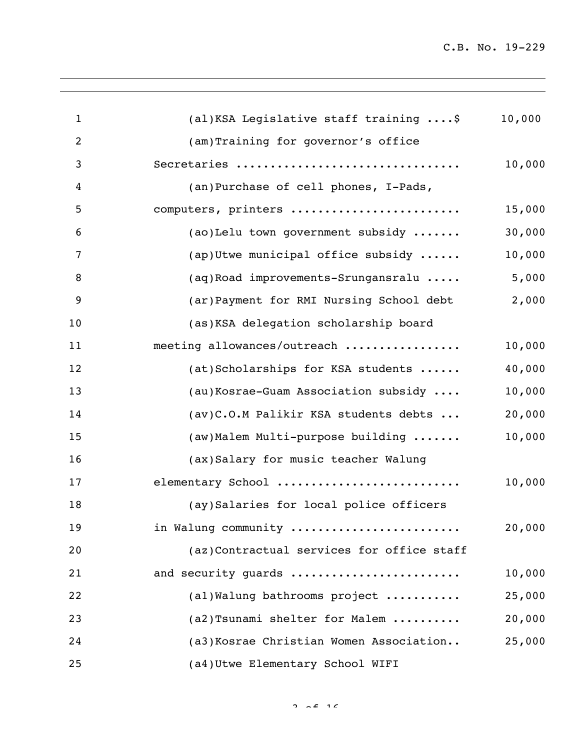$\overline{\phantom{a}}$ 

| $\mathbf{1}$   | (al) KSA Legislative staff training \$    | 10,000 |
|----------------|-------------------------------------------|--------|
| $\overline{2}$ | (am)Training for governor's office        |        |
| 3              | Secretaries                               | 10,000 |
| 4              | (an)Purchase of cell phones, I-Pads,      |        |
| 5              | computers, printers                       | 15,000 |
| 6              | (ao)Lelu town government subsidy          | 30,000 |
| 7              | (ap) Utwe municipal office subsidy        | 10,000 |
| 8              | (aq) Road improvements-Srungansralu       | 5,000  |
| 9              | (ar) Payment for RMI Nursing School debt  | 2,000  |
| 10             | (as) KSA delegation scholarship board     |        |
| 11             | meeting allowances/outreach               | 10,000 |
| 12             | (at)Scholarships for KSA students         | 40,000 |
| 13             | (au)Kosrae-Guam Association subsidy       | 10,000 |
| 14             | (av)C.O.M Palikir KSA students debts      | 20,000 |
| 15             | (aw) Malem Multi-purpose building         | 10,000 |
| 16             | (ax) Salary for music teacher Walung      |        |
| 17             | elementary School                         | 10,000 |
| 18             | (ay)Salaries for local police officers    |        |
| 19             | in Walung community                       | 20,000 |
| 20             | (az)Contractual services for office staff |        |
| 21             | and security quards                       | 10,000 |
| 22             | (al) Walung bathrooms project             | 25,000 |
| 23             | (a2) Tsunami shelter for Malem            | 20,000 |
| 24             | (a3) Kosrae Christian Women Association   | 25,000 |
| 25             | (a4) Utwe Elementary School WIFI          |        |

 $2 \times 16$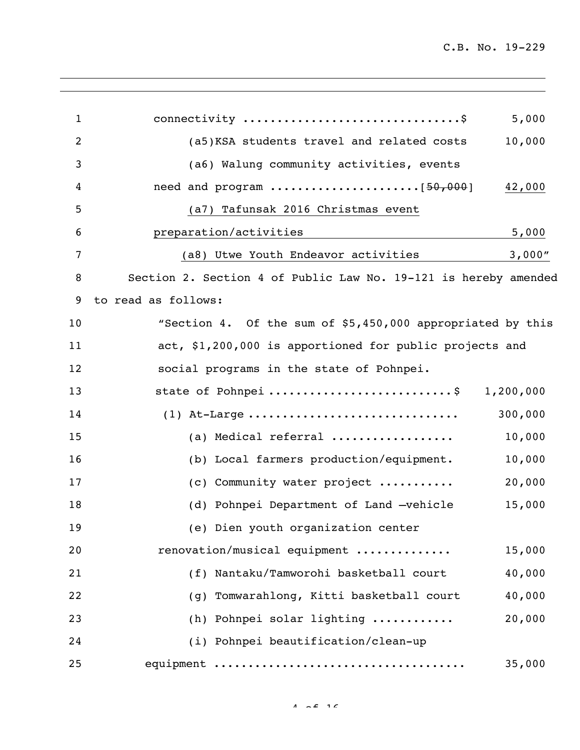| $\mathbf{1}$   | connectivity \$<br>5,000                                                                   |  |
|----------------|--------------------------------------------------------------------------------------------|--|
| $\overline{2}$ | 10,000<br>(a5) KSA students travel and related costs                                       |  |
| 3              | (a6) Walung community activities, events                                                   |  |
| 4              | need and program $\ldots \ldots \ldots \ldots \ldots \ldots \left[50,000\right]$<br>42,000 |  |
| 5              | (a7) Tafunsak 2016 Christmas event                                                         |  |
| 6              | preparation/activities<br>5,000                                                            |  |
| 7              | 3,000"<br>(a8) Utwe Youth Endeavor activities                                              |  |
| 8              | Section 2. Section 4 of Public Law No. 19-121 is hereby amended                            |  |
| 9              | to read as follows:                                                                        |  |
| 10             | "Section 4. Of the sum of \$5,450,000 appropriated by this                                 |  |
| 11             | act, \$1,200,000 is apportioned for public projects and                                    |  |
| 12             | social programs in the state of Pohnpei.                                                   |  |
| 13             | state of Pohnpei \$<br>1,200,000                                                           |  |
| 14             | (1) At-Large<br>300,000                                                                    |  |
| 15             | (a) Medical referral<br>10,000                                                             |  |
| 16             | (b) Local farmers production/equipment.<br>10,000                                          |  |
| 17             | 20,000<br>(c) Community water project                                                      |  |
| 18             | 15,000<br>(d) Pohnpei Department of Land -vehicle                                          |  |
| 19             | (e) Dien youth organization center                                                         |  |
| 20             | renovation/musical equipment<br>15,000                                                     |  |
| 21             | 40,000<br>(f) Nantaku/Tamworohi basketball court                                           |  |
| 22             | (g) Tomwarahlong, Kitti basketball court<br>40,000                                         |  |
| 23             | 20,000<br>(h) Pohnpei solar lighting                                                       |  |
| 24             | (i) Pohnpei beautification/clean-up                                                        |  |
| 25             | 35,000                                                                                     |  |

 $4 \times 2 \times 16$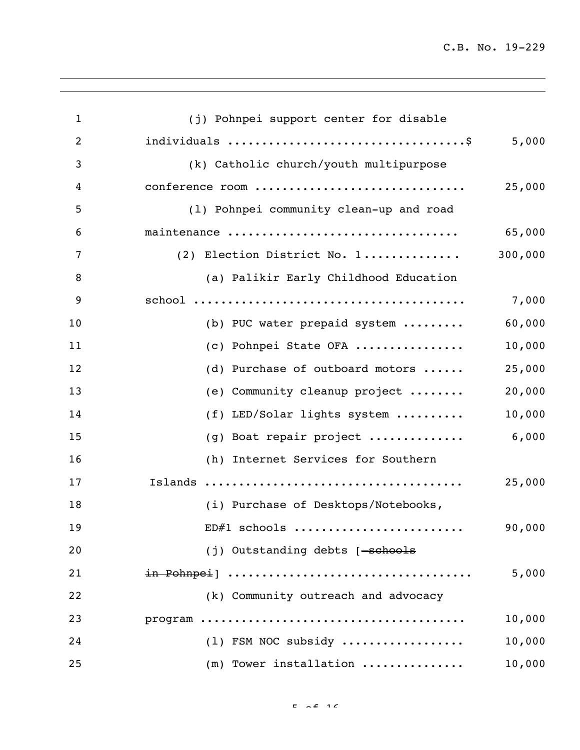$\overline{\phantom{a}}$ 

| $\mathbf{1}$   | (j) Pohnpei support center for disable  |         |
|----------------|-----------------------------------------|---------|
| $\overline{c}$ |                                         | 5,000   |
| 3              | (k) Catholic church/youth multipurpose  |         |
| 4              | conference room                         | 25,000  |
| 5              | (1) Pohnpei community clean-up and road |         |
| 6              | maintenance                             | 65,000  |
| 7              | (2) Election District No. 1             | 300,000 |
| 8              | (a) Palikir Early Childhood Education   |         |
| 9              |                                         | 7,000   |
| 10             | (b) PUC water prepaid system            | 60,000  |
| 11             | (c) Pohnpei State OFA                   | 10,000  |
| 12             | (d) Purchase of outboard motors         | 25,000  |
| 13             | (e) Community cleanup project           | 20,000  |
| 14             | (f) LED/Solar lights system             | 10,000  |
| 15             | (g) Boat repair project                 | 6,000   |
| 16             | (h) Internet Services for Southern      |         |
| 17             |                                         | 25,000  |
| 18             | (i) Purchase of Desktops/Notebooks,     |         |
| 19             | ED#1 schools                            | 90,000  |
| 20             | (j) Outstanding debts [-schools         |         |
| 21             | in Pohnpei]                             | 5,000   |
| 22             | (k) Community outreach and advocacy     |         |
| 23             |                                         | 10,000  |
| 24             | (1) FSM NOC subsidy                     | 10,000  |
| 25             | (m) Tower installation                  | 10,000  |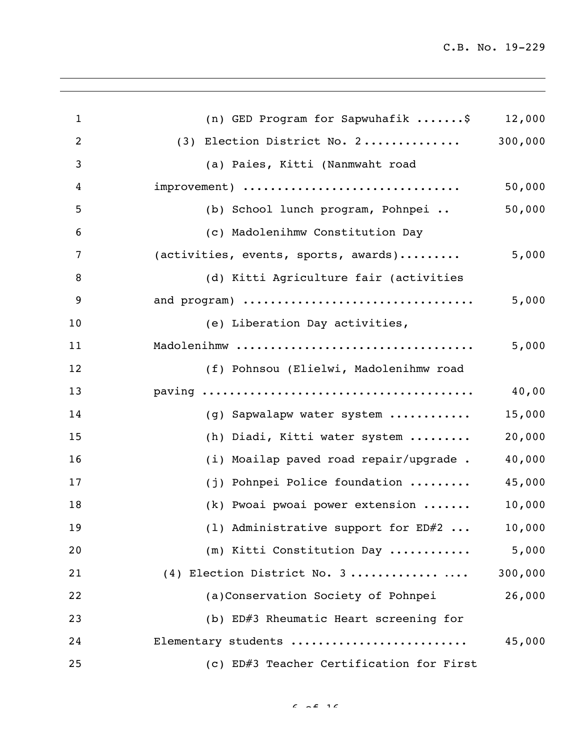$\overline{\phantom{a}}$ 

| $\mathbf{1}$   | (n) GED Program for Sapwuhafik \$        | 12,000  |
|----------------|------------------------------------------|---------|
| $\overline{2}$ | (3) Election District No. 2              | 300,000 |
| 3              | (a) Paies, Kitti (Nanmwaht road          |         |
| 4              | improvement)                             | 50,000  |
| 5              | (b) School lunch program, Pohnpei        | 50,000  |
| 6              | (c) Madolenihmw Constitution Day         |         |
| 7              | (activities, events, sports, awards)     | 5,000   |
| 8              | (d) Kitti Agriculture fair (activities   |         |
| 9              | and program)                             | 5,000   |
| 10             | (e) Liberation Day activities,           |         |
| 11             | Madolenihmw                              | 5,000   |
| 12             | (f) Pohnsou (Elielwi, Madolenihmw road   |         |
| 13             |                                          | 40,00   |
| 14             | (g) Sapwalapw water system               | 15,000  |
| 15             | (h) Diadi, Kitti water system            | 20,000  |
| 16             | (i) Moailap paved road repair/upgrade .  | 40,000  |
| 17             | (j) Pohnpei Police foundation            | 45,000  |
| 18             | (k) Pwoai pwoai power extension          | 10,000  |
| 19             | (1) Administrative support for $ED#2$    | 10,000  |
| 20             | (m) Kitti Constitution Day               | 5,000   |
| 21             | (4) Election District No. 3              | 300,000 |
| 22             | (a)Conservation Society of Pohnpei       | 26,000  |
| 23             | (b) ED#3 Rheumatic Heart screening for   |         |
| 24             | Elementary students                      | 45,000  |
| 25             | (c) ED#3 Teacher Certification for First |         |

 $6.66$  16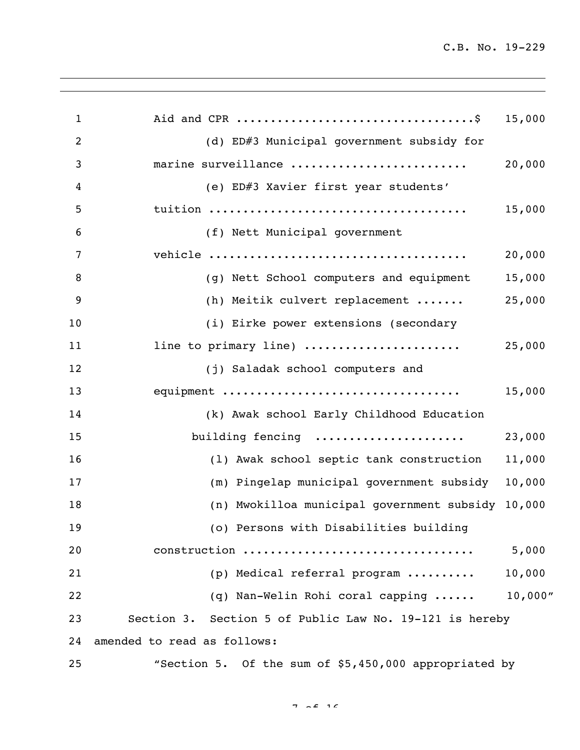$\overline{\phantom{a}}$ 

| $\mathbf{1}$   |                                                         | 15,000   |
|----------------|---------------------------------------------------------|----------|
| $\overline{2}$ | (d) ED#3 Municipal government subsidy for               |          |
| 3              | marine surveillance                                     | 20,000   |
| 4              | (e) ED#3 Xavier first year students'                    |          |
| 5              |                                                         | 15,000   |
| 6              | (f) Nett Municipal government                           |          |
| 7              |                                                         | 20,000   |
| 8              | (g) Nett School computers and equipment                 | 15,000   |
| 9              | (h) Meitik culvert replacement                          | 25,000   |
| 10             | (i) Eirke power extensions (secondary                   |          |
| 11             | line to primary line)                                   | 25,000   |
| 12             | (j) Saladak school computers and                        |          |
| 13             | equipment                                               | 15,000   |
| 14             | (k) Awak school Early Childhood Education               |          |
| 15             | building fencing                                        | 23,000   |
| 16             | (1) Awak school septic tank construction                | 11,000   |
| 17             | (m) Pingelap municipal government subsidy               | 10,000   |
| 18             | (n) Mwokilloa municipal government subsidy 10,000       |          |
| 19             | (o) Persons with Disabilities building                  |          |
| 20             | construction                                            | 5,000    |
| 21             | (p) Medical referral program                            | 10,000   |
| 22             | (q) Nan-Welin Rohi coral capping                        | 10,000'' |
| 23             | Section 3. Section 5 of Public Law No. 19-121 is hereby |          |
| 24             | amended to read as follows:                             |          |
| 25             | "Section 5. Of the sum of \$5,450,000 appropriated by   |          |

 $7 - 2$   $16$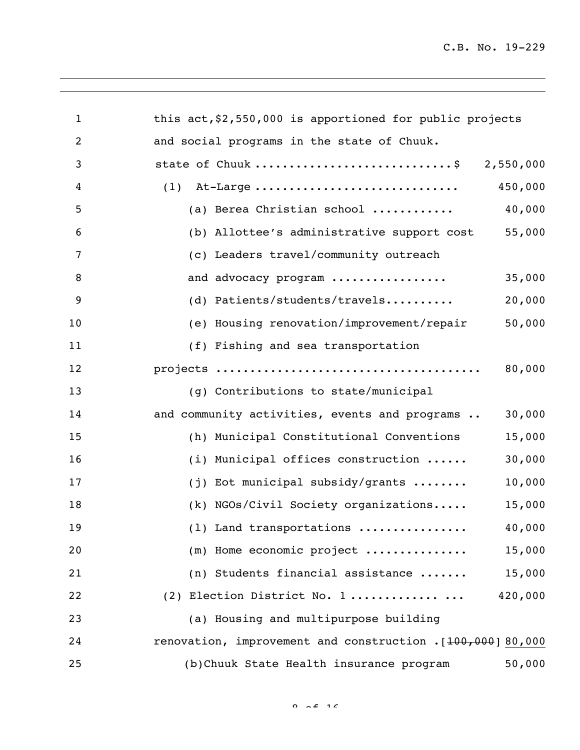$\overline{\phantom{a}}$ 

| $\mathbf{1}$   | this $act, $2,550,000$ is apportioned for public projects   |
|----------------|-------------------------------------------------------------|
| $\overline{2}$ | and social programs in the state of Chuuk.                  |
| 3              | state of Chuuk \$ 2,550,000                                 |
| 4              | 450,000<br>$(1)$ At-Large                                   |
| 5              | 40,000<br>(a) Berea Christian school                        |
| 6              | 55,000<br>(b) Allottee's administrative support cost        |
| 7              | (c) Leaders travel/community outreach                       |
| 8              | and advocacy program<br>35,000                              |
| 9              | (d) Patients/students/travels<br>20,000                     |
| 10             | 50,000<br>(e) Housing renovation/improvement/repair         |
| 11             | (f) Fishing and sea transportation                          |
| 12             | 80,000                                                      |
| 13             | (g) Contributions to state/municipal                        |
| 14             | 30,000<br>and community activities, events and programs     |
| 15             | 15,000<br>(h) Municipal Constitutional Conventions          |
| 16             | (i) Municipal offices construction<br>30,000                |
| 17             | 10,000<br>$(j)$ Eot municipal subsidy/grants                |
| 18             | (k) NGOs/Civil Society organizations<br>15,000              |
| 19             | 40,000<br>(1) Land transportations                          |
| 20             | 15,000<br>$(m)$ Home economic project                       |
| 21             | (n) Students financial assistance<br>15,000                 |
| 22             | 420,000<br>(2) Election District No. 1                      |
| 23             | (a) Housing and multipurpose building                       |
| 24             | renovation, improvement and construction . [100,000] 80,000 |
| 25             | (b) Chuuk State Health insurance program<br>50,000          |

 $0.25$  16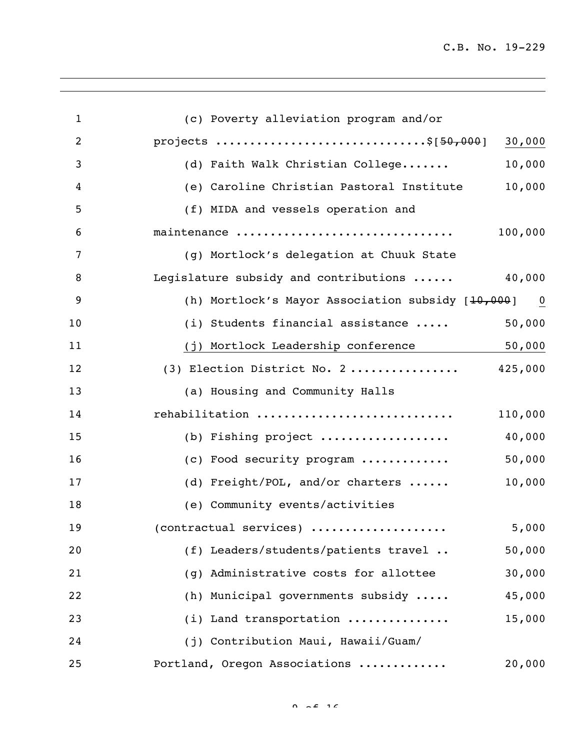$\overline{\phantom{a}}$ 

| $\mathbf{1}$     | (c) Poverty alleviation program and/or                                          |
|------------------|---------------------------------------------------------------------------------|
| $\overline{2}$   | projects \$[50,000]<br>30,000                                                   |
| 3                | 10,000<br>(d) Faith Walk Christian College                                      |
| $\boldsymbol{4}$ | 10,000<br>(e) Caroline Christian Pastoral Institute                             |
| 5                | (f) MIDA and vessels operation and                                              |
| 6                | maintenance<br>100,000                                                          |
| 7                | (g) Mortlock's delegation at Chuuk State                                        |
| 8                | 40,000<br>Legislature subsidy and contributions                                 |
| 9                | (h) Mortlock's Mayor Association subsidy $[10,000]$<br>$\overline{\phantom{0}}$ |
| 10               | 50,000<br>(i) Students financial assistance                                     |
| 11               | 50,000<br>(j) Mortlock Leadership conference                                    |
| 12               | (3) Election District No. 2 425,000                                             |
| 13               | (a) Housing and Community Halls                                                 |
| 14               | rehabilitation<br>110,000                                                       |
| 15               | (b) Fishing project<br>40,000                                                   |
| 16               | (c) Food security program<br>50,000                                             |
| 17               | 10,000<br>(d) Freight/POL, and/or charters                                      |
| 18               | (e) Community events/activities                                                 |
| 19               | $(contractual$ services)<br>5,000                                               |
| 20               | (f) Leaders/students/patients travel<br>50,000                                  |
| 21               | 30,000<br>(q) Administrative costs for allottee                                 |
| 22               | (h) Municipal governments subsidy<br>45,000                                     |
| 23               | (i) Land transportation<br>15,000                                               |
| 24               | (j) Contribution Maui, Hawaii/Guam/                                             |
| 25               | Portland, Oregon Associations<br>20,000                                         |

 $0 \neq f$  16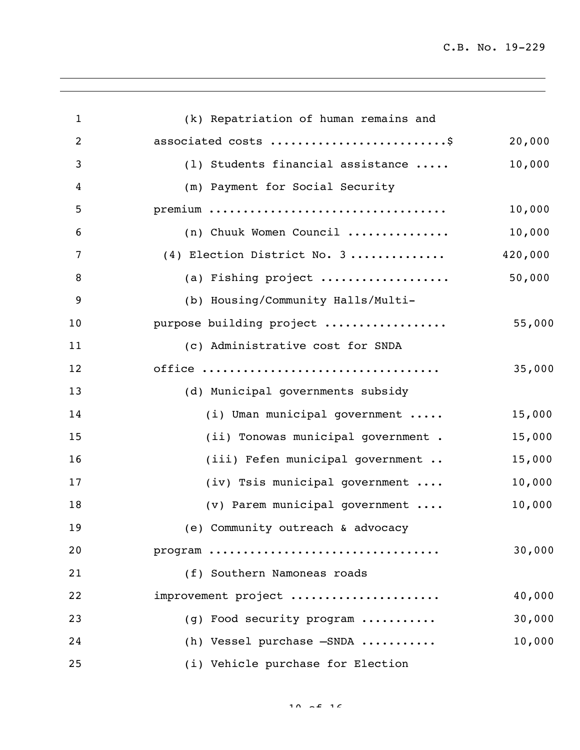$\overline{\phantom{a}}$ 

| $\mathbf{1}$     | (k) Repatriation of human remains and |         |
|------------------|---------------------------------------|---------|
| $\overline{2}$   | associated costs \$                   | 20,000  |
| 3                | (1) Students financial assistance     | 10,000  |
| 4                | (m) Payment for Social Security       |         |
| 5                |                                       | 10,000  |
| 6                | (n) Chuuk Women Council               | 10,000  |
| $\overline{7}$   | (4) Election District No. 3           | 420,000 |
| 8                | (a) Fishing project                   | 50,000  |
| $\boldsymbol{9}$ | (b) Housing/Community Halls/Multi-    |         |
| 10               | purpose building project              | 55,000  |
| 11               | (c) Administrative cost for SNDA      |         |
| 12               |                                       | 35,000  |
| 13               | (d) Municipal governments subsidy     |         |
| 14               | (i) Uman municipal government         | 15,000  |
| 15               | (ii) Tonowas municipal government.    | 15,000  |
| 16               | (iii) Fefen municipal government      | 15,000  |
| 17               | (iv) Tsis municipal government        | 10,000  |
| 18               | (v) Parem municipal government        | 10,000  |
| 19               | (e) Community outreach & advocacy     |         |
| 20               | program                               | 30,000  |
| 21               | (f) Southern Namoneas roads           |         |
| 22               | improvement project                   | 40,000  |
| 23               | (g) Food security program             | 30,000  |
| 24               | (h) Vessel purchase -SNDA             | 10,000  |
| 25               | (i) Vehicle purchase for Election     |         |

 $10 \times 2 = 16$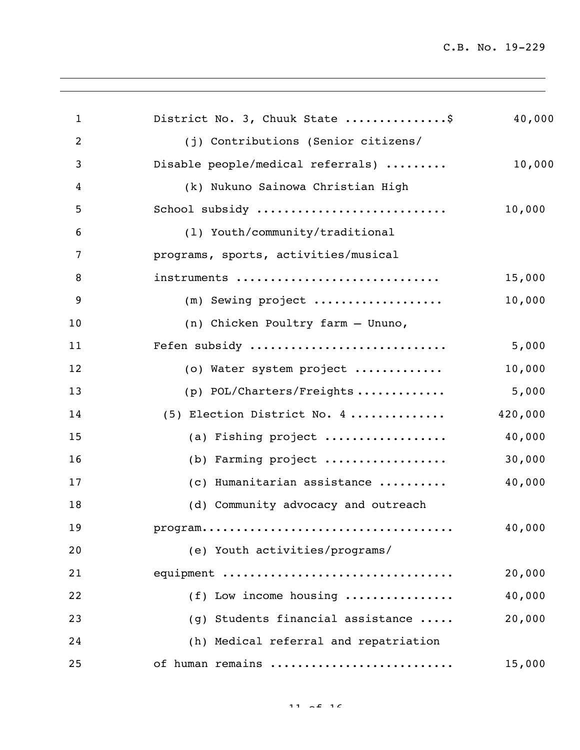$\overline{\phantom{a}}$ 

| $\mathbf{1}$   | District No. 3, Chuuk State \$        | 40,000  |
|----------------|---------------------------------------|---------|
| $\overline{2}$ | (j) Contributions (Senior citizens/   |         |
| 3              | Disable people/medical referrals)     | 10,000  |
| 4              | (k) Nukuno Sainowa Christian High     |         |
| 5              | School subsidy                        | 10,000  |
| 6              | (1) Youth/community/traditional       |         |
| 7              | programs, sports, activities/musical  |         |
| 8              | instruments                           | 15,000  |
| 9              | (m) Sewing project                    | 10,000  |
| 10             | (n) Chicken Poultry farm - Ununo,     |         |
| 11             | Fefen subsidy                         | 5,000   |
| 12             | (o) Water system project              | 10,000  |
| 13             | (p) POL/Charters/Freights             | 5,000   |
| 14             | (5) Election District No. 4           | 420,000 |
| 15             | (a) Fishing project                   | 40,000  |
| 16             | (b) Farming project                   | 30,000  |
| 17             | (c) Humanitarian assistance           | 40,000  |
| 18             | (d) Community advocacy and outreach   |         |
| 19             |                                       | 40,000  |
| 20             | (e) Youth activities/programs/        |         |
| 21             | equipment                             | 20,000  |
| 22             | (f) Low income housing                | 40,000  |
| 23             | (g) Students financial assistance     | 20,000  |
| 24             | (h) Medical referral and repatriation |         |
| 25             | of human remains                      | 15,000  |
|                |                                       |         |

11  $\sim$  16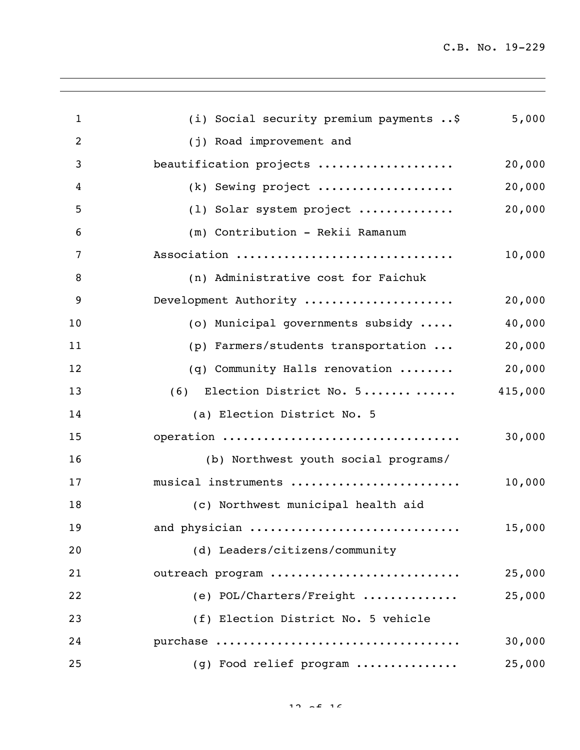$\overline{\phantom{a}}$ 

| $\mathbf{1}$ | (i) Social security premium payments  \$ | 5,000   |
|--------------|------------------------------------------|---------|
| 2            | (j) Road improvement and                 |         |
| 3            | beautification projects                  | 20,000  |
| 4            | (k) Sewing project                       | 20,000  |
| 5            | (1) Solar system project                 | 20,000  |
| 6            | (m) Contribution - Rekii Ramanum         |         |
| 7            | Association                              | 10,000  |
| 8            | (n) Administrative cost for Faichuk      |         |
| 9            | Development Authority                    | 20,000  |
| 10           | (o) Municipal governments subsidy        | 40,000  |
| 11           | (p) Farmers/students transportation      | 20,000  |
| 12           | (q) Community Halls renovation           | 20,000  |
| 13           | (6) Election District No. 5              | 415,000 |
| 14           | (a) Election District No. 5              |         |
| 15           | operation                                | 30,000  |
| 16           | (b) Northwest youth social programs/     |         |
| 17           | musical instruments                      | 10,000  |
| 18           | (c) Northwest municipal health aid       |         |
| 19           | and physician                            | 15,000  |
| 20           | (d) Leaders/citizens/community           |         |
| 21           | outreach program                         | 25,000  |
| 22           | (e) POL/Charters/Freight                 | 25,000  |
| 23           | (f) Election District No. 5 vehicle      |         |
| 24           |                                          | 30,000  |
| 25           | (g) Food relief program                  | 25,000  |
|              |                                          |         |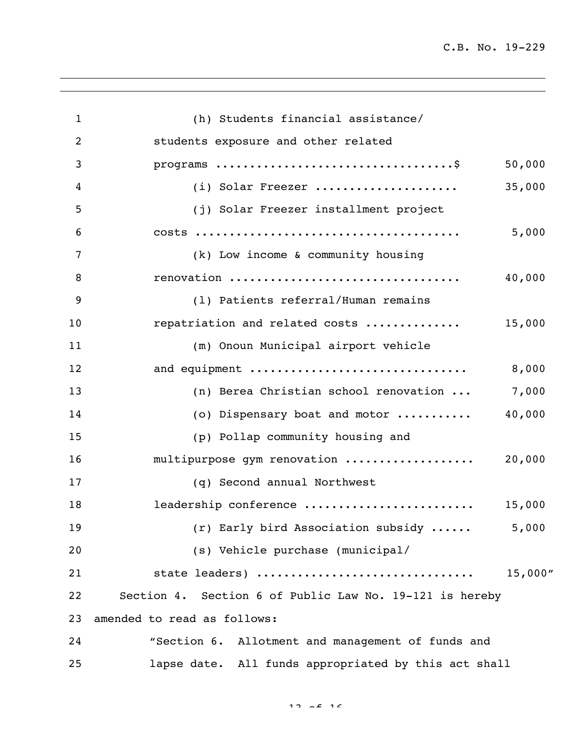$\overline{\phantom{a}}$ 

| $\mathbf{1}$   | (h) Students financial assistance/                      |          |
|----------------|---------------------------------------------------------|----------|
| $\overline{2}$ | students exposure and other related                     |          |
| 3              |                                                         | 50,000   |
| 4              | (i) Solar Freezer                                       | 35,000   |
| 5              | (j) Solar Freezer installment project                   |          |
| 6              |                                                         | 5,000    |
| 7              | (k) Low income & community housing                      |          |
| 8              | renovation                                              | 40,000   |
| 9              | (1) Patients referral/Human remains                     |          |
| 10             | repatriation and related costs                          | 15,000   |
| 11             | (m) Onoun Municipal airport vehicle                     |          |
| 12             | and equipment                                           | 8,000    |
| 13             | (n) Berea Christian school renovation                   | 7,000    |
| 14             | (o) Dispensary boat and motor                           | 40,000   |
| 15             | (p) Pollap community housing and                        |          |
| 16             | multipurpose gym renovation                             | 20,000   |
| 17             | (q) Second annual Northwest                             |          |
| 18             | leadership conference                                   | 15,000   |
| 19             | (r) Early bird Association subsidy                      | 5,000    |
| 20             | (s) Vehicle purchase (municipal/                        |          |
| 21             | state leaders)                                          | 15,000'' |
| 22             | Section 4. Section 6 of Public Law No. 19-121 is hereby |          |
| 23             | amended to read as follows:                             |          |
| 24             | "Section 6. Allotment and management of funds and       |          |
| 25             | lapse date. All funds appropriated by this act shall    |          |

 $12 \times 216$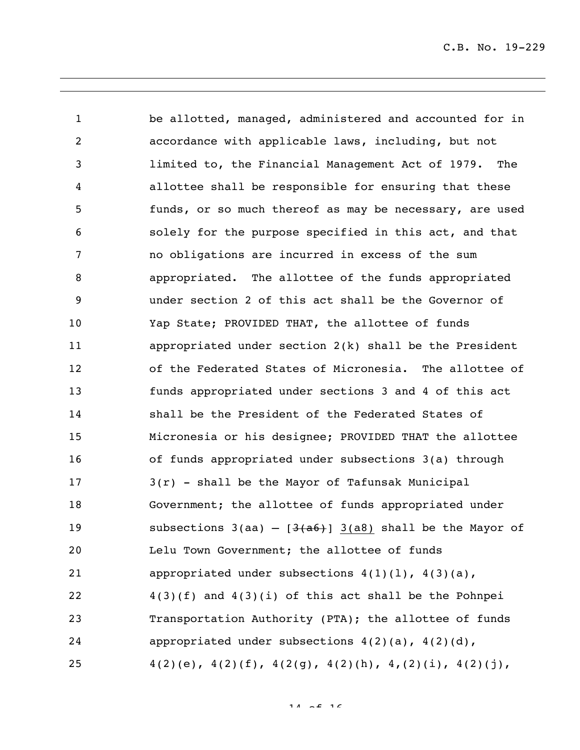be allotted, managed, administered and accounted for in accordance with applicable laws, including, but not limited to, the Financial Management Act of 1979. The allottee shall be responsible for ensuring that these funds, or so much thereof as may be necessary, are used solely for the purpose specified in this act, and that no obligations are incurred in excess of the sum appropriated. The allottee of the funds appropriated under section 2 of this act shall be the Governor of Yap State; PROVIDED THAT, the allottee of funds appropriated under section 2(k) shall be the President of the Federated States of Micronesia. The allottee of funds appropriated under sections 3 and 4 of this act shall be the President of the Federated States of Micronesia or his designee; PROVIDED THAT the allottee of funds appropriated under subsections 3(a) through 3(r) - shall be the Mayor of Tafunsak Municipal Government; the allottee of funds appropriated under 19 subsections  $3(aa) - [3(a6)]$  3(a8) shall be the Mayor of Lelu Town Government; the allottee of funds 21 appropriated under subsections  $4(1)(1)$ ,  $4(3)(a)$ , 4(3)(f) and 4(3)(i) of this act shall be the Pohnpei Transportation Authority (PTA); the allottee of funds appropriated under subsections 4(2)(a), 4(2)(d),  $4(2)(e), 4(2)(f), 4(2(g), 4(2)(h), 4,(2)(i), 4(2)(j),$ 

 $14 \times 16$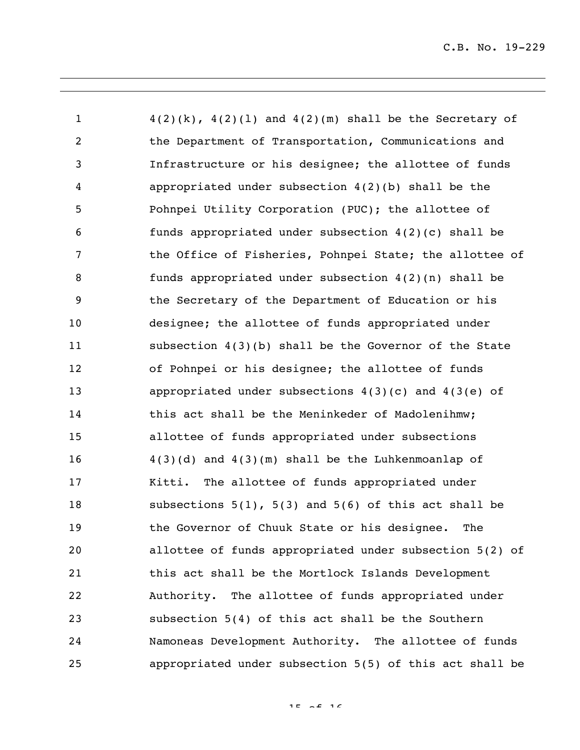$4(2)(k)$ ,  $4(2)(1)$  and  $4(2)(m)$  shall be the Secretary of the Department of Transportation, Communications and Infrastructure or his designee; the allottee of funds appropriated under subsection 4(2)(b) shall be the Pohnpei Utility Corporation (PUC); the allottee of funds appropriated under subsection 4(2)(c) shall be 7 the Office of Fisheries, Pohnpei State; the allottee of funds appropriated under subsection 4(2)(n) shall be the Secretary of the Department of Education or his designee; the allottee of funds appropriated under subsection 4(3)(b) shall be the Governor of the State of Pohnpei or his designee; the allottee of funds appropriated under subsections 4(3)(c) and 4(3(e) of this act shall be the Meninkeder of Madolenihmw; allottee of funds appropriated under subsections 4(3)(d) and 4(3)(m) shall be the Luhkenmoanlap of Kitti. The allottee of funds appropriated under subsections 5(1), 5(3) and 5(6) of this act shall be the Governor of Chuuk State or his designee. The allottee of funds appropriated under subsection 5(2) of this act shall be the Mortlock Islands Development Authority. The allottee of funds appropriated under subsection 5(4) of this act shall be the Southern Namoneas Development Authority. The allottee of funds appropriated under subsection 5(5) of this act shall be

of 16